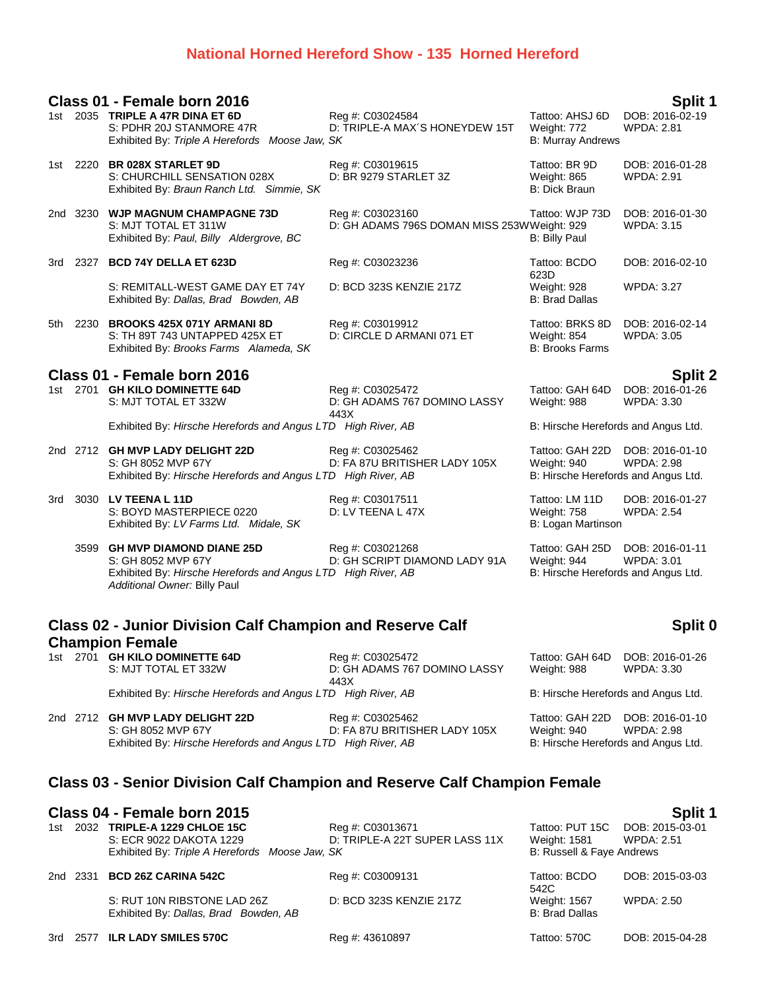## **National Horned Hereford Show - 135 Horned Hereford**

|                                                                                                       | Split 1<br>Class 01 - Female born 2016 |                                                                                                                                                     |                                                                 |                                                                       |                                      |  |  |
|-------------------------------------------------------------------------------------------------------|----------------------------------------|-----------------------------------------------------------------------------------------------------------------------------------------------------|-----------------------------------------------------------------|-----------------------------------------------------------------------|--------------------------------------|--|--|
|                                                                                                       |                                        | 1st 2035 TRIPLE A 47R DINA ET 6D<br>S: PDHR 20J STANMORE 47R<br>Exhibited By: Triple A Herefords Moose Jaw, SK                                      | Reg #: C03024584<br>D: TRIPLE-A MAX'S HONEYDEW 15T              | Tattoo: AHSJ 6D<br>Weight: 772<br><b>B: Murray Andrews</b>            | DOB: 2016-02-19<br><b>WPDA: 2.81</b> |  |  |
|                                                                                                       |                                        | 1st 2220 BR 028X STARLET 9D<br>S: CHURCHILL SENSATION 028X<br>Exhibited By: Braun Ranch Ltd. Simmie, SK                                             | Reg #: C03019615<br>D: BR 9279 STARLET 3Z                       | Tattoo: BR 9D<br>Weight: 865<br><b>B: Dick Braun</b>                  | DOB: 2016-01-28<br><b>WPDA: 2.91</b> |  |  |
|                                                                                                       |                                        | 2nd 3230 WJP MAGNUM CHAMPAGNE 73D<br>S: MJT TOTAL ET 311W<br>Exhibited By: Paul, Billy Aldergrove, BC                                               | Reg #: C03023160<br>D: GH ADAMS 796S DOMAN MISS 253WWeight: 929 | Tattoo: WJP 73D<br><b>B: Billy Paul</b>                               | DOB: 2016-01-30<br><b>WPDA: 3.15</b> |  |  |
|                                                                                                       |                                        | 3rd 2327 BCD 74Y DELLA ET 623D                                                                                                                      | Reg #: C03023236                                                | Tattoo: BCDO<br>623D                                                  | DOB: 2016-02-10                      |  |  |
|                                                                                                       |                                        | S: REMITALL-WEST GAME DAY ET 74Y<br>Exhibited By: Dallas, Brad Bowden, AB                                                                           | D: BCD 323S KENZIE 217Z                                         | Weight: 928<br><b>B: Brad Dallas</b>                                  | <b>WPDA: 3.27</b>                    |  |  |
|                                                                                                       |                                        | 5th 2230 BROOKS 425X 071Y ARMANI 8D<br>S: TH 89T 743 UNTAPPED 425X ET<br>Exhibited By: Brooks Farms Alameda, SK                                     | Reg #: C03019912<br>D: CIRCLE D ARMANI 071 ET                   | Tattoo: BRKS 8D<br><b>Weight: 854</b><br><b>B: Brooks Farms</b>       | DOB: 2016-02-14<br><b>WPDA: 3.05</b> |  |  |
|                                                                                                       |                                        | Class 01 - Female born 2016                                                                                                                         |                                                                 |                                                                       | Split 2                              |  |  |
|                                                                                                       |                                        | 1st 2701 GH KILO DOMINETTE 64D<br>S: MJT TOTAL ET 332W                                                                                              | Reg #: C03025472<br>D: GH ADAMS 767 DOMINO LASSY<br>443X        | Tattoo: GAH 64D<br>Weight: 988                                        | DOB: 2016-01-26<br><b>WPDA: 3.30</b> |  |  |
|                                                                                                       |                                        | Exhibited By: Hirsche Herefords and Angus LTD High River, AB                                                                                        |                                                                 | B: Hirsche Herefords and Angus Ltd.                                   |                                      |  |  |
|                                                                                                       |                                        | 2nd 2712 GH MVP LADY DELIGHT 22D<br>S: GH 8052 MVP 67Y<br>Exhibited By: Hirsche Herefords and Angus LTD High River, AB                              | Reg #: C03025462<br>D: FA 87U BRITISHER LADY 105X               | Tattoo: GAH 22D<br>Weight: 940<br>B: Hirsche Herefords and Angus Ltd. | DOB: 2016-01-10<br><b>WPDA: 2.98</b> |  |  |
| 3rd                                                                                                   |                                        | 3030 LV TEENA L 11D<br>S: BOYD MASTERPIECE 0220<br>Exhibited By: LV Farms Ltd. Midale, SK                                                           | Reg #: C03017511<br>D: LV TEENA L 47X                           | Tattoo: LM 11D<br><b>Weight: 758</b><br>B: Logan Martinson            | DOB: 2016-01-27<br><b>WPDA: 2.54</b> |  |  |
|                                                                                                       |                                        | 3599 GH MVP DIAMOND DIANE 25D<br>S: GH 8052 MVP 67Y<br>Exhibited By: Hirsche Herefords and Angus LTD High River, AB<br>Additional Owner: Billy Paul | Reg #: C03021268<br>D: GH SCRIPT DIAMOND LADY 91A               | Tattoo: GAH 25D<br>Weight: 944<br>B: Hirsche Herefords and Angus Ltd. | DOB: 2016-01-11<br><b>WPDA: 3.01</b> |  |  |
| <b>Class 02 - Junior Division Calf Champion and Reserve Calf</b><br>Split 0<br><b>Champion Female</b> |                                        |                                                                                                                                                     |                                                                 |                                                                       |                                      |  |  |
|                                                                                                       |                                        | 1st 2701 GH KILO DOMINETTE 64D<br>S: MJT TOTAL ET 332W                                                                                              | Reg #: C03025472<br>D: GH ADAMS 767 DOMINO LASSY<br>443X        | Tattoo: GAH 64D<br>Weight: 988                                        | DOB: 2016-01-26<br><b>WPDA: 3.30</b> |  |  |
|                                                                                                       |                                        | Exhibited By: Hirsche Herefords and Angus LTD High River, AB                                                                                        |                                                                 | B: Hirsche Herefords and Angus Ltd.                                   |                                      |  |  |

2nd 2712 **GH MVP LADY DELIGHT 22D** Reg #: C03025462 Tattoo: GAH 22D DOB: 2016-01-10<br>S: GH 8052 MVP 67Y D: FA 87U BRITISHER LADY 105X Weight: 940 WPDA: 2.98 D: FA 87U BRITISHER LADY 105X Weight: 940 WPDA: 2.98<br>
FD High River, AB B: Hirsche Herefords and Angus Ltd. Exhibited By: *Hirsche Herefords and Angus LTD* High River, AB

## **Class 03 - Senior Division Calf Champion and Reserve Calf Champion Female**

## **Class 04 - Female born 2015 Split 1**

| 1st |          | 2032 TRIPLE-A 1229 CHLOE 15C<br>S: ECR 9022 DAKOTA 1229<br>Exhibited By: Triple A Herefords Moose Jaw, SK | Reg #: C03013671<br>D: TRIPLE-A 22T SUPER LASS 11X | Weiaht: 1581<br>B: Russell & Faye Andrews | Tattoo: PUT 15C DOB: 2015-03-01<br><b>WPDA: 2.51</b> |
|-----|----------|-----------------------------------------------------------------------------------------------------------|----------------------------------------------------|-------------------------------------------|------------------------------------------------------|
|     | 2nd 2331 | <b>BCD 26Z CARINA 542C</b>                                                                                | Reg #: C03009131                                   | Tattoo: BCDO<br>542C                      | DOB: 2015-03-03                                      |
|     |          | S: RUT 10N RIBSTONE LAD 26Z<br>Exhibited By: Dallas, Brad Bowden, AB                                      | D: BCD 323S KENZIE 217Z                            | Weight: 1567<br>B: Brad Dallas            | WPDA: 2.50                                           |
|     |          | 3rd 2577 ILR LADY SMILES 570C                                                                             | Reg #: 43610897                                    | Tattoo: 570C                              | DOB: 2015-04-28                                      |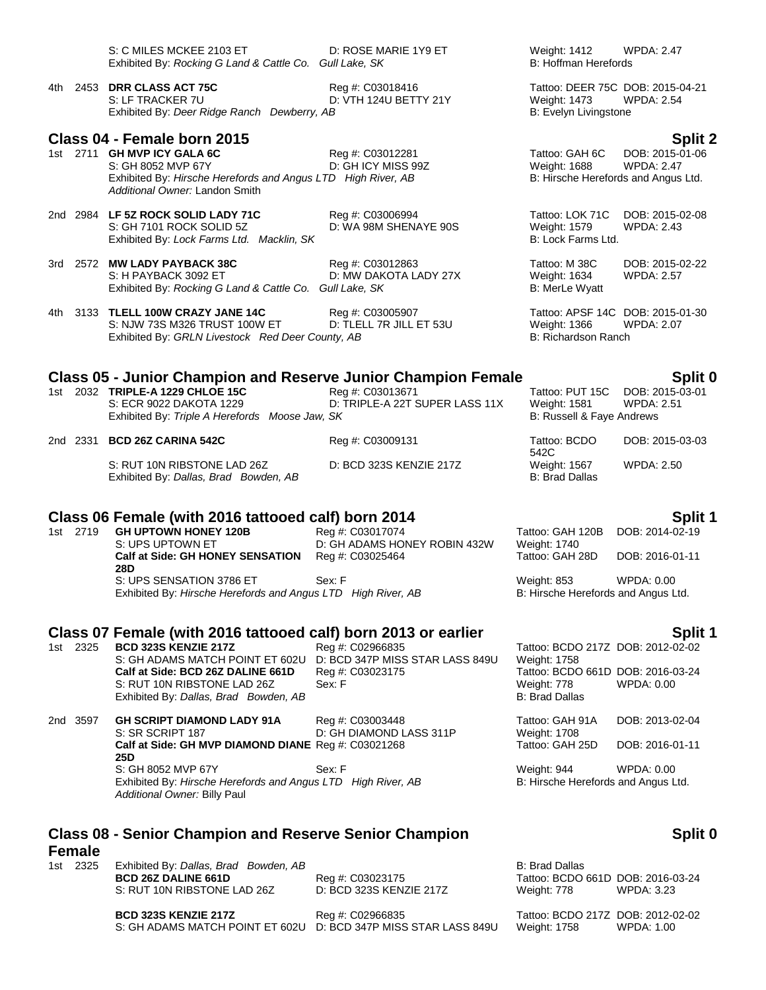|                                                                |                                                                                 |  | S: C MILES MCKEE 2103 ET<br>Exhibited By: Rocking G Land & Cattle Co. Gull Lake, SK                                                                 | D: ROSE MARIE 1Y9 ET                               | Weight: 1412<br>B: Hoffman Herefords                         | <b>WPDA: 2.47</b>                                                           |  |  |
|----------------------------------------------------------------|---------------------------------------------------------------------------------|--|-----------------------------------------------------------------------------------------------------------------------------------------------------|----------------------------------------------------|--------------------------------------------------------------|-----------------------------------------------------------------------------|--|--|
|                                                                | 4th l                                                                           |  | 2453 DRR CLASS ACT 75C<br>S: LF TRACKER 7U<br>Exhibited By: Deer Ridge Ranch Dewberry, AB                                                           | Reg #: C03018416<br>D: VTH 124U BETTY 21Y          | <b>Weight: 1473</b><br>B: Evelyn Livingstone                 | Tattoo: DEER 75C DOB: 2015-04-21<br><b>WPDA: 2.54</b>                       |  |  |
|                                                                |                                                                                 |  | Class 04 - Female born 2015                                                                                                                         |                                                    |                                                              | <b>Split 2</b>                                                              |  |  |
|                                                                |                                                                                 |  | 1st 2711 GH MVP ICY GALA 6C<br>S: GH 8052 MVP 67Y<br>Exhibited By: Hirsche Herefords and Angus LTD High River, AB<br>Additional Owner: Landon Smith | Reg #: C03012281<br>D: GH ICY MISS 99Z             | Tattoo: GAH 6C<br><b>Weight: 1688</b>                        | DOB: 2015-01-06<br><b>WPDA: 2.47</b><br>B: Hirsche Herefords and Angus Ltd. |  |  |
|                                                                |                                                                                 |  | 2nd 2984 LF 5Z ROCK SOLID LADY 71C<br>S: GH 7101 ROCK SOLID 5Z<br>Exhibited By: Lock Farms Ltd. Macklin, SK                                         | Reg #: C03006994<br>D: WA 98M SHENAYE 90S          | Tattoo: LOK 71C<br><b>Weight: 1579</b><br>B: Lock Farms Ltd. | DOB: 2015-02-08<br><b>WPDA: 2.43</b>                                        |  |  |
|                                                                |                                                                                 |  | 3rd 2572 MW LADY PAYBACK 38C<br>S: H PAYBACK 3092 ET<br>Exhibited By: Rocking G Land & Cattle Co. Gull Lake, SK                                     | Reg #: C03012863<br>D: MW DAKOTA LADY 27X          | Tattoo: M 38C<br>Weight: 1634<br>B: MerLe Wyatt              | DOB: 2015-02-22<br><b>WPDA: 2.57</b>                                        |  |  |
|                                                                |                                                                                 |  | 4th 3133 TLELL 100W CRAZY JANE 14C<br>S: NJW 73S M326 TRUST 100W ET<br>Exhibited By: GRLN Livestock Red Deer County, AB                             | Reg #: C03005907<br>D: TLELL 7R JILL ET 53U        | <b>Weight: 1366</b><br>B: Richardson Ranch                   | Tattoo: APSF 14C DOB: 2015-01-30<br><b>WPDA: 2.07</b>                       |  |  |
|                                                                | <b>Class 05 - Junior Champion and Reserve Junior Champion Female</b><br>Split 0 |  |                                                                                                                                                     |                                                    |                                                              |                                                                             |  |  |
|                                                                |                                                                                 |  | 1st 2032 TRIPLE-A 1229 CHLOE 15C<br>S: ECR 9022 DAKOTA 1229<br>Exhibited By: Triple A Herefords Moose Jaw, SK                                       | Reg #: C03013671<br>D: TRIPLE-A 22T SUPER LASS 11X | Tattoo: PUT 15C<br>Weight: 1581<br>B: Russell & Faye Andrews | DOB: 2015-03-01<br><b>WPDA: 2.51</b>                                        |  |  |
|                                                                |                                                                                 |  | 2nd 2331 BCD 26Z CARINA 542C                                                                                                                        | Reg #: C03009131                                   | Tattoo: BCDO<br>542C                                         | DOB: 2015-03-03                                                             |  |  |
|                                                                |                                                                                 |  | S: RUT 10N RIBSTONE LAD 26Z<br>Exhibited By: Dallas, Brad Bowden, AB                                                                                | D: BCD 323S KENZIE 217Z                            | Weight: 1567<br><b>B: Brad Dallas</b>                        | <b>WPDA: 2.50</b>                                                           |  |  |
| Class 06 Female (with 2016 tattooed calf) born 2014<br>Split 1 |                                                                                 |  |                                                                                                                                                     |                                                    |                                                              |                                                                             |  |  |
|                                                                | 1st 2719                                                                        |  | <b>GH UPTOWN HONEY 120B</b>                                                                                                                         | Reg #: C03017074                                   | Tattoo: GAH 120B                                             | DOB: 2014-02-19                                                             |  |  |
|                                                                |                                                                                 |  | S: UPS UPTOWN ET<br>Calf at Side: GH HONEY SENSATION                                                                                                | D: GH ADAMS HONEY ROBIN 432W<br>Reg #: C03025464   | Weight: 1740<br>Tattoo: GAH 28D                              | DOB: 2016-01-11                                                             |  |  |
|                                                                |                                                                                 |  | 28D<br>S: UPS SENSATION 3786 ET                                                                                                                     | Sex: F                                             | Weight: 853                                                  | <b>WPDA: 0.00</b>                                                           |  |  |

# **Class 07 Female (with 2016 tattooed calf) born 2013 or earlier Split 1**

1st 2325 **BCD 323S KENZIE 217Z** Reg #: C02966835 Tattoo: BCDO 217Z DOB: 2012-02-02 S: GH ADAMS MATCH POINT ET 602U D: BCD 347P MISS STAR LASS 849U Weight: 1758 **Calf at Side: BCD 26Z DALINE 661D** Reg #: C03023175 Tattoo: BCDO 661D DOB: 2016-03-24<br>S: RUT 10N RIBSTONE LAD 26Z Sex: F Weight: 778 WPDA: 0.00 S: RUT 10N RIBSTONE LAD 26Z Sex: F Exhibited By: *Dallas, Brad Bowden, AB* B: Brad Dallas, B: Brad Dallas

Exhibited By: *Hirsche Herefords and Angus LTD High River, AB* B: Hirsche Herefords and Angus Ltd.

2nd 3597 **GH SCRIPT DIAMOND LADY 91A** Reg #: C03003448 Tattoo: GAH 91A DOB: 2013-02-04<br>S: SR SCRIPT 187 D: GH DIAMOND LASS 311P Weight: 1708 D: GH DIAMOND LASS 311P Weight: 1708<br>
Reg #: C03021268 Tattoo: GAH 25D **Calf at Side: GH MVP DIAMOND DIANE** Reg #: C03021268 Tattoo: GAH 25D DOB: 2016-01-11 **25D** S: GH 8052 MVP 67Y Sex: F<br>
Exhibited By: Hirsche Herefords and Angus LTD High River, AB S: Hirsche Herefords and Angus Ltd. Exhibited By: *Hirsche Herefords and Angus LTD High River, AB Additional Owner:* Billy Paul

### **Class 08 - Senior Champion and Reserve Senior Champion**

# **Female**<br>1st 2325

Exhibited By: *Dallas, Brad Bowden, AB* B: Brad Dallas **BCD 26Z DALINE 661D** Reg #: C03023175 Tattoo: BCDO 661D DOB: 2016-03-24 S: RUT 10N RIBSTONE LAD 26Z D: BCD 323S KENZIE 217Z Weight: 778 WPDA: 3.23

**BCD 323S KENZIE 217Z** Reg #: C02966835 TAttoo: BCDO 217Z DOB: 2012-02-02<br>S: GH ADAMS MATCH POINT ET 602U D: BCD 347P MISS STAR LASS 849U Weight: 1758 WPDA: 1.00 S: GH ADAMS MATCH POINT ET 602U D: BCD 347P MISS STAR LASS 849U

**Split 0**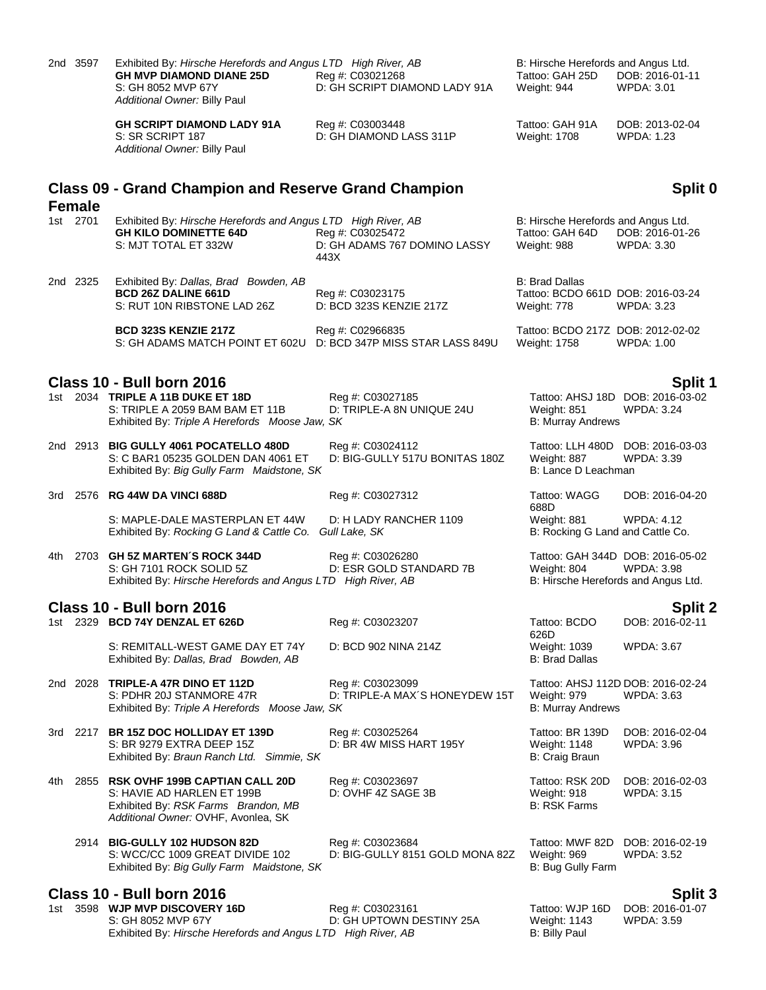|     | 2nd 3597      | Exhibited By: Hirsche Herefords and Angus LTD High River, AB<br><b>GH MVP DIAMOND DIANE 25D</b><br>S: GH 8052 MVP 67Y<br>Additional Owner: Billy Paul | Reg #: C03021268<br>D: GH SCRIPT DIAMOND LADY 91A        | B: Hirsche Herefords and Angus Ltd.<br>Tattoo: GAH 25D<br>Weight: 944     | DOB: 2016-01-11<br><b>WPDA: 3.01</b>                                                         |
|-----|---------------|-------------------------------------------------------------------------------------------------------------------------------------------------------|----------------------------------------------------------|---------------------------------------------------------------------------|----------------------------------------------------------------------------------------------|
|     |               | <b>GH SCRIPT DIAMOND LADY 91A</b><br>S: SR SCRIPT 187<br>Additional Owner: Billy Paul                                                                 | Reg #: C03003448<br>D: GH DIAMOND LASS 311P              | Tattoo: GAH 91A<br>Weight: 1708                                           | DOB: 2013-02-04<br>WPDA: 1.23                                                                |
|     | <b>Female</b> | <b>Class 09 - Grand Champion and Reserve Grand Champion</b>                                                                                           |                                                          |                                                                           | Split 0                                                                                      |
|     | 1st 2701      | Exhibited By: Hirsche Herefords and Angus LTD High River, AB<br><b>GH KILO DOMINETTE 64D</b><br>S: MJT TOTAL ET 332W                                  | Reg #: C03025472<br>D: GH ADAMS 767 DOMINO LASSY<br>443X | B: Hirsche Herefords and Angus Ltd.<br>Tattoo: GAH 64D<br>Weight: 988     | DOB: 2016-01-26<br><b>WPDA: 3.30</b>                                                         |
|     | 2nd 2325      | Exhibited By: Dallas, Brad Bowden, AB<br><b>BCD 26Z DALINE 661D</b><br>S: RUT 10N RIBSTONE LAD 26Z                                                    | Reg #: C03023175<br>D: BCD 323S KENZIE 217Z              | <b>B: Brad Dallas</b><br>Tattoo: BCDO 661D DOB: 2016-03-24<br>Weight: 778 | <b>WPDA: 3.23</b>                                                                            |
|     |               | <b>BCD 323S KENZIE 217Z</b><br>S: GH ADAMS MATCH POINT ET 602U                                                                                        | Reg #: C02966835<br>D: BCD 347P MISS STAR LASS 849U      | Tattoo: BCDO 217Z DOB: 2012-02-02<br><b>Weight: 1758</b>                  | <b>WPDA: 1.00</b>                                                                            |
|     |               | Class 10 - Bull born 2016                                                                                                                             |                                                          |                                                                           | Split 1                                                                                      |
|     |               | 1st 2034 TRIPLE A 11B DUKE ET 18D<br>S: TRIPLE A 2059 BAM BAM ET 11B<br>Exhibited By: Triple A Herefords Moose Jaw, SK                                | Reg #: C03027185<br>D: TRIPLE-A 8N UNIQUE 24U            | Weight: 851<br><b>B: Murray Andrews</b>                                   | Tattoo: AHSJ 18D DOB: 2016-03-02<br>WPDA: 3.24                                               |
|     |               | 2nd 2913 BIG GULLY 4061 POCATELLO 480D<br>S: C BAR1 05235 GOLDEN DAN 4061 ET<br>Exhibited By: Big Gully Farm Maidstone, SK                            | Reg #: C03024112<br>D: BIG-GULLY 517U BONITAS 180Z       | Weight: 887<br>B: Lance D Leachman                                        | Tattoo: LLH 480D DOB: 2016-03-03<br><b>WPDA: 3.39</b>                                        |
|     |               | 3rd 2576 RG 44W DA VINCI 688D                                                                                                                         | Reg #: C03027312                                         | Tattoo: WAGG<br>688D                                                      | DOB: 2016-04-20                                                                              |
|     |               | S: MAPLE-DALE MASTERPLAN ET 44W<br>Exhibited By: Rocking G Land & Cattle Co.                                                                          | D: H LADY RANCHER 1109<br>Gull Lake, SK                  | Weight: 881<br>B: Rocking G Land and Cattle Co.                           | WPDA: 4.12                                                                                   |
|     |               | 4th 2703 GH 5Z MARTEN'S ROCK 344D<br>S: GH 7101 ROCK SOLID 5Z<br>Exhibited By: Hirsche Herefords and Angus LTD High River, AB                         | Reg #: C03026280<br>D: ESR GOLD STANDARD 7B              | Weight: 804                                                               | Tattoo: GAH 344D DOB: 2016-05-02<br><b>WPDA: 3.98</b><br>B: Hirsche Herefords and Angus Ltd. |
|     |               | Class 10 - Bull born 2016                                                                                                                             |                                                          |                                                                           | <b>Split 2</b>                                                                               |
|     |               | 1st 2329 BCD 74Y DENZAL ET 626D                                                                                                                       | Reg #: C03023207                                         | Tattoo: BCDO<br>626D                                                      | DOB: 2016-02-11                                                                              |
|     |               | S: REMITALL-WEST GAME DAY ET 74Y<br>Exhibited By: Dallas, Brad Bowden, AB                                                                             | D: BCD 902 NINA 214Z                                     | Weight: 1039<br><b>B: Brad Dallas</b>                                     | <b>WPDA: 3.67</b>                                                                            |
|     |               | 2nd 2028 TRIPLE-A 47R DINO ET 112D<br>S: PDHR 20J STANMORE 47R<br>Exhibited By: Triple A Herefords Moose Jaw, SK                                      | Reg #: C03023099<br>D: TRIPLE-A MAX'S HONEYDEW 15T       | Weight: 979<br><b>B: Murray Andrews</b>                                   | Tattoo: AHSJ 112D DOB: 2016-02-24<br><b>WPDA: 3.63</b>                                       |
| 3rd |               | 2217 BR 15Z DOC HOLLIDAY ET 139D<br>S: BR 9279 EXTRA DEEP 15Z<br>Exhibited By: Braun Ranch Ltd. Simmie, SK                                            | Reg #: C03025264<br>D: BR 4W MISS HART 195Y              | Tattoo: BR 139D<br><b>Weight: 1148</b><br>B: Craig Braun                  | DOB: 2016-02-04<br>WPDA: 3.96                                                                |
| 4th |               | 2855 RSK OVHF 199B CAPTIAN CALL 20D<br>S: HAVIE AD HARLEN ET 199B<br>Exhibited By: RSK Farms Brandon, MB<br>Additional Owner: OVHF, Avonlea, SK       | Reg #: C03023697<br>D: OVHF 4Z SAGE 3B                   | Tattoo: RSK 20D<br>Weight: 918<br><b>B: RSK Farms</b>                     | DOB: 2016-02-03<br><b>WPDA: 3.15</b>                                                         |
|     |               | 2914 BIG-GULLY 102 HUDSON 82D<br>S: WCC/CC 1009 GREAT DIVIDE 102<br>Exhibited By: Big Gully Farm Maidstone, SK                                        | Reg #: C03023684<br>D: BIG-GULLY 8151 GOLD MONA 82Z      | Weight: 969<br>B: Bug Gully Farm                                          | Tattoo: MWF 82D DOB: 2016-02-19<br><b>WPDA: 3.52</b>                                         |
|     |               | <b>Class 10 - Bull born 2016</b><br>1st 3598 WJP MVP DISCOVERY 16D                                                                                    | Reg #: C03023161                                         | Tattoo: WJP 16D                                                           | Split 3<br>DOB: 2016-01-07                                                                   |
|     |               | S: GH 8052 MVP 67Y                                                                                                                                    | D: GH UPTOWN DESTINY 25A                                 | Weight: 1143                                                              | <b>WPDA: 3.59</b>                                                                            |

Exhibited By: *Hirsche Herefords and Angus LTD High River, AB* B: Billy Paul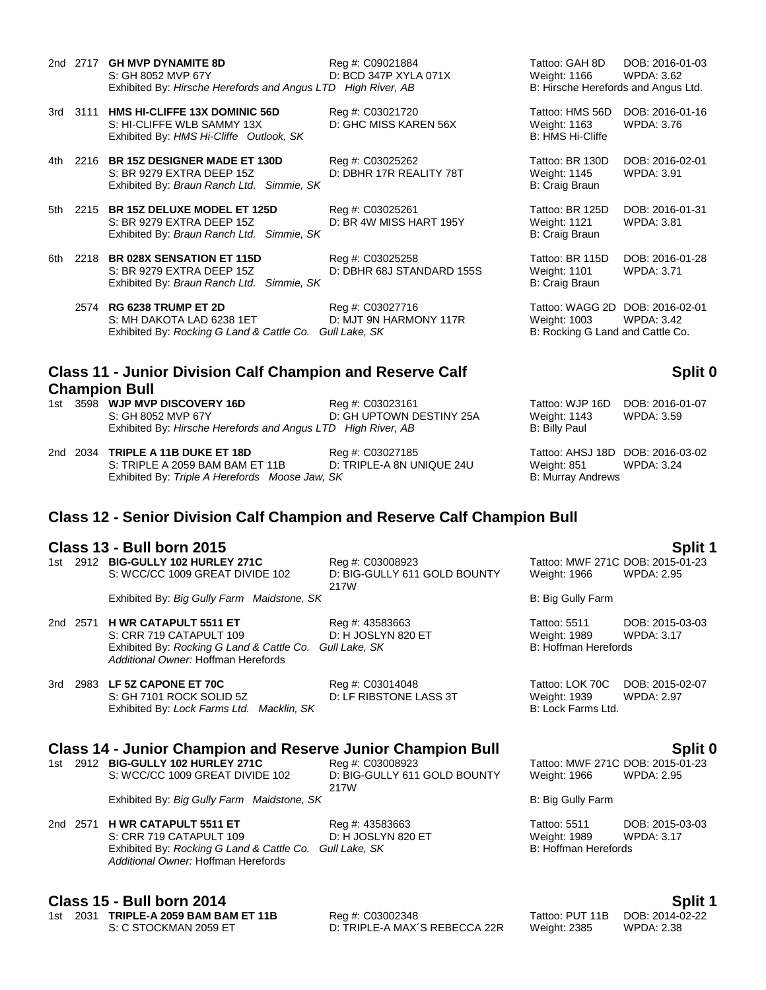- 2nd 2717 **GH MVP DYNAMITE 8D** Reg #: C09021884 Tattoo: GAH 8D DOB: 2016-01-03 S: GH 8052 MVP 67Y **D: BCD 347P XYLA 071X** Weight: 1166 WPDA: 3.62<br>Exhibited By: *Hirsche Herefords and Angus LTD High River, AB* B: Hirsche Herefords and Angus Ltd. Exhibited By: *Hirsche Herefords and Angus LTD High River, AB*
- 3rd 3111 **HMS HI-CLIFFE 13X DOMINIC 56D** Reg #: C03021720 Tattoo: HMS 56D DOB: 2016-01-16 S: HI-CLIFFE WLB SAMMY 13X D: GHC MISS KAREN 56X Weight: 1163 WPDA: 3.76 Exhibited By: *HMS Hi-Cliffe Outlook, SK* B: HMS Hi-Cliffe **Development Communist Communist Communist Communist Communist Communist Communist Communist Communist Communist Communist Communist Communist Communist Communist**
- 4th 2216 **BR 15Z DESIGNER MADE ET 130D** Reg #: C03025262 Tattoo: BR 130D DOB: 2016-02-01 S: BR 9279 EXTRA DEEP 15Z D: DBHR 17R REALITY 78T Weight: 1145 WPDA: 3.91 Exhibited By: *Braun Ranch Ltd. Simmie, SK* B: Craig Braun B: Craig Braun
- 5th 2215 **BR 15Z DELUXE MODEL ET 125D** Reg #: C03025261 Tattoo: BR 125D DOB: 2016-01-31<br>S: BR 9279 EXTRA DEEP 15Z D: BR 4W MISS HART 195Y Weight: 1121 WPDA: 3.81 Exhibited By: *Braun Ranch Ltd. Simmie, SK* B: Craig Braun B: Craig Braun
- 6th 2218 **BR 028X SENSATION ET 115D** Reg #: C03025258 Tattoo: BR 115D DOB: 2016-01-28 S: BR 9279 EXTRA DEEP 15Z D: DBHR 68J STANDARD 155S Weight: 1101 WPDA: 3.71 Exhibited By: *Braun Ranch Ltd. Simmie, SK* B: Craig Braun B: Craig Braun
	- 2574 **RG 6238 TRUMP ET 2D** Reg #: C03027716 Tattoo: WAGG 2D DOB: 2016-02-01 S: MH DAKOTA LAD 6238 1ET D: MJT 9N HARMONY 117R Weight: 1003 WPDA: 3.42 Exhibited By: *Rocking G Land & Cattle Co.* Gull Lake, SK B: Rocking G Land and Cattle Co.

### **Class 11 - Junior Division Calf Champion and Reserve Calf Champion Bull**

1st 3598 **WJP MVP DISCOVERY 16D** Reg #: C03023161 **Reg 11 COSOS 161** Tattoo: WJP 16D DOB: 2016-01-07 S: GH 8052 MVP 67Y D: GH UPTOWN DESTINY 25A Weight: 1143 WPDA: 3.59 Exhibited By: *Hirsche Herefords and Angus LTD High River, AB* B: Billy Paul

2nd 2034 **TRIPLE A 11B DUKE ET 18D** Reg #: C03027185 Tattoo: AHSJ 18D DOB: 2016-03-02 S: TRIPLE A 2059 BAM BAM ET 11B D: TRIPLE-A 8N UNIQUE 24U Weight: 851 WPDA: 3.24 Exhibited By: Triple A Herefords Moose Jaw, SK B: Murray Andrews

### **Class 12 - Senior Division Calf Champion and Reserve Calf Champion Bull**

#### **Class 13 - Bull born 2015 Split 1**

1st 2912 **BIG-GULLY 102 HURLEY 271C** Reg #: C03008923 Tattoo: MWF 271C DOB: 2015-01-23 S: WCC/CC 1009 GREAT DIVIDE 102 D: BIG-GULLY 611 GOLD BOUNTY

217W

Exhibited By: *Big Gully Farm Maidstone, SK* B: Big Gully Farm B: Big Gully Farm

2nd 2571 **H WR CATAPULT 5511 ET** Reg #: 43583663 Tattoo: 5511 DOB: 2015-03-03 S: CRR 719 CATAPULT 109 D: H JOSLYN 820 ET Weight: 1989 WPDA: 3.17 Exhibited By: *Rocking G Land & Cattle Co. Gull Lake, SK* B: Hoffman Herefords *Additional Owner:* Hoffman Herefords

#### 3rd 2983 **LF 5Z CAPONE ET 70C** Reg #: C03014048 Tattoo: LOK 70C DOB: 2015-02-07 S: GH 7101 ROCK SOLID 5Z D: LF RIBSTONE LASS 3T Weight: 1939 WPDA: 2.97 Exhibited By: *Lock Farms Ltd. Macklin, SK* B: Lock Farms Ltd. B: Lock Farms Ltd.

# **Class 14 - Junior Champion and Reserve Junior Champion Bull Split 0**

1st 2912 **BIG-GULLY 102 HURLEY 271C** Reg #: C03008923 Tattoo: MWF 271C DOB: 2015-0<br>S: WCC/CC 1009 GREAT DIVIDE 102 D: BIG-GULLY 611 GOLD BOUNTY Weight: 1966 WPDA: 2.95 S: WCC/CC 1009 GREAT DIVIDE 102

217W

Exhibited By: *Big Gully Farm Maidstone, SK* B: Big Gully Farm B: Big Gully Farm

2nd 2571 **H WR CATAPULT 5511 ET** Reg #: 43583663 Tattoo: 5511 DOB: 2015-03-03 S: CRR 719 CATAPULT 109 D: H JOSLYN 820 ET Weight: 1989 W<br>
Exhibited By: Rocking G Land & Cattle Co. Gull Lake. SK B: Hoffman Herefords Exhibited By: *Rocking G Land & Cattle Co. Gull Lake, SK Additional Owner:* Hoffman Herefords

### **Class 15 - Bull born 2014 Split 1**

1st 2031 **TRIPLE-A 2059 BAM BAM ET 11B** Reg #: C03002348 Tattoo: PUT 11B DOB: 2014-02-22 S: C STOCKMAN 2059 ET D: TRIPLE-A MAX'S REBECCA 22R Weight: 2385 WPDA: 2.38

Weight: 1966

# **Split 0**

Weight: 1966 WPDA: 2.95

D: BR 4W MISS HART 195Y Weight: 1121